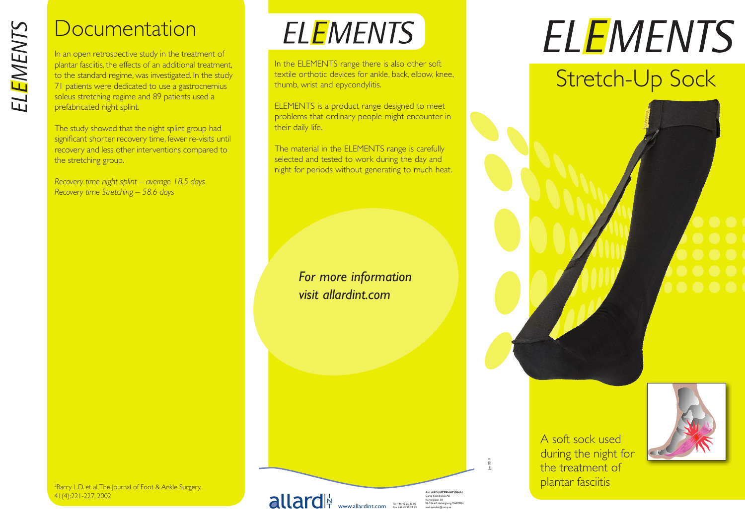# **Documentation**

In an open retrospective study in the treatment of plantar fasciitis, the effects of an additional treatment, to the standard regime, was investigated. In the study 71 patients were dedicated to use a gastrocnemius soleus stretching regime and 89 patients used a prefabricated night splint.

The study showed that the night splint group had significant shorter recovery time, fewer re-visits until recovery and less other interventions compared to the stretching group.

*Recovery time night splint – average 18.5 days Recovery time Stretching – 58.6 days*

# **ELEMENTS**

In the ELEMENTS range there is also other soft textile orthotic devices for ankle, back, elbow, knee, thumb, wrist and epycondylitis.

ELEMENTS is a product range designed to meet problems that ordinary people might encounter in their daily life.

The material in the ELEMENTS range is carefully selected and tested to work during the day and night for periods without generating to much heat.

### *For more information visit allardint.com*

# **ELEMENTS**

# Stretch-Up Sock





<sup>2</sup>Barry L.D. et al, The Journal of Foot & Ankle Surgery, 41(4):221-227, 2002

www.allardint.com Tel +46 42 25 27 00 Fax +46 42 25 27 25

**ALLARD INTERNATIONAL** Camp Scandinavia AB Karbingatan 38 SE-254 67 Helsingborg SWEDEN mail.sweden@camp.se

Jan 2013